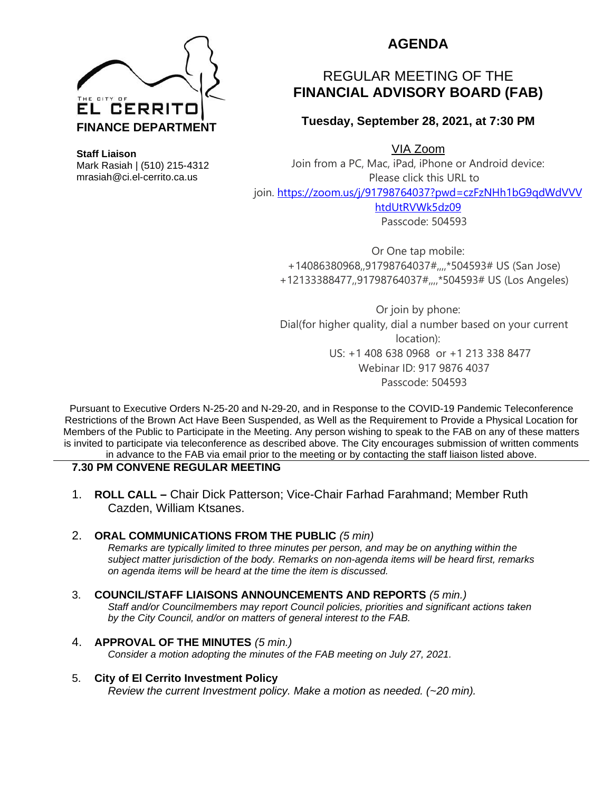

**Staff Liaison** Mark Rasiah | (510) 215-4312 mrasiah@ci.el-cerrito.ca.us

## **AGENDA**

# REGULAR MEETING OF THE **FINANCIAL ADVISORY BOARD (FAB)**

**Tuesday, September 28, 2021, at 7:30 PM**

VIA Zoom

Join from a PC, Mac, iPad, iPhone or Android device: Please click this URL to join. [https://zoom.us/j/91798764037?pwd=czFzNHh1bG9qdWdVVV](https://zoom.us/j/91798764037?pwd=czFzNHh1bG9qdWdVVVhtdUtRVWk5dz09) [htdUtRVWk5dz09](https://zoom.us/j/91798764037?pwd=czFzNHh1bG9qdWdVVVhtdUtRVWk5dz09)

Passcode: 504593

Or One tap mobile: +14086380968,,91798764037#,,,,\*504593# US (San Jose) +12133388477,,91798764037#,,,,\*504593# US (Los Angeles)

Or join by phone: Dial(for higher quality, dial a number based on your current location): US: +1 408 638 0968 or +1 213 338 8477 Webinar ID: 917 9876 4037 Passcode: 504593

Pursuant to Executive Orders N-25-20 and N-29-20, and in Response to the COVID-19 Pandemic Teleconference Restrictions of the Brown Act Have Been Suspended, as Well as the Requirement to Provide a Physical Location for Members of the Public to Participate in the Meeting. Any person wishing to speak to the FAB on any of these matters is invited to participate via teleconference as described above. The City encourages submission of written comments in advance to the FAB via email prior to the meeting or by contacting the staff liaison listed above.

## **7.30 PM CONVENE REGULAR MEETING**

1. **ROLL CALL –** Chair Dick Patterson; Vice-Chair Farhad Farahmand; Member Ruth Cazden, William Ktsanes.

## 2. **ORAL COMMUNICATIONS FROM THE PUBLIC** *(5 min)*

*Remarks are typically limited to three minutes per person, and may be on anything within the subject matter jurisdiction of the body. Remarks on non-agenda items will be heard first, remarks on agenda items will be heard at the time the item is discussed.* 

## 3. **COUNCIL/STAFF LIAISONS ANNOUNCEMENTS AND REPORTS** *(5 min.)*

*Staff and/or Councilmembers may report Council policies, priorities and significant actions taken by the City Council, and/or on matters of general interest to the FAB.*

## 4. **APPROVAL OF THE MINUTES** *(5 min.)*

*Consider a motion adopting the minutes of the FAB meeting on July 27, 2021.*

## 5. **City of El Cerrito Investment Policy**

*Review the current Investment policy. Make a motion as needed. (~20 min).*